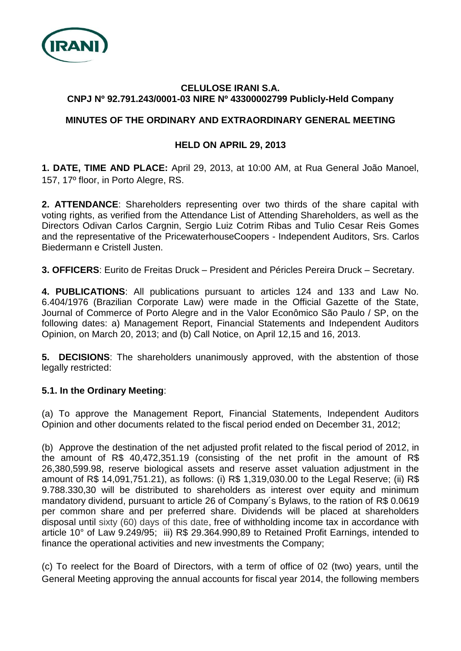

### **CELULOSE IRANI S.A. CNPJ Nº 92.791.243/0001-03 NIRE Nº 43300002799 Publicly-Held Company**

# **MINUTES OF THE ORDINARY AND EXTRAORDINARY GENERAL MEETING**

## **HELD ON APRIL 29, 2013**

**1. DATE, TIME AND PLACE:** April 29, 2013, at 10:00 AM, at Rua General João Manoel, 157, 17º floor, in Porto Alegre, RS.

**2. ATTENDANCE**: Shareholders representing over two thirds of the share capital with voting rights, as verified from the Attendance List of Attending Shareholders, as well as the Directors Odivan Carlos Cargnin, Sergio Luiz Cotrim Ribas and Tulio Cesar Reis Gomes and the representative of the PricewaterhouseCoopers - Independent Auditors, Srs. Carlos Biedermann e Cristell Justen.

**3. OFFICERS**: Eurito de Freitas Druck – President and Péricles Pereira Druck – Secretary.

**4. PUBLICATIONS**: All publications pursuant to articles 124 and 133 and Law No. 6.404/1976 (Brazilian Corporate Law) were made in the Official Gazette of the State, Journal of Commerce of Porto Alegre and in the Valor Econômico São Paulo / SP, on the following dates: a) Management Report, Financial Statements and Independent Auditors Opinion, on March 20, 2013; and (b) Call Notice, on April 12,15 and 16, 2013.

**5. DECISIONS**: The shareholders unanimously approved, with the abstention of those legally restricted:

## **5.1. In the Ordinary Meeting**:

(a) To approve the Management Report, Financial Statements, Independent Auditors Opinion and other documents related to the fiscal period ended on December 31, 2012;

(b) Approve the destination of the net adjusted profit related to the fiscal period of 2012, in the amount of R\$ 40,472,351.19 (consisting of the net profit in the amount of R\$ 26,380,599.98, reserve biological assets and reserve asset valuation adjustment in the amount of R\$ 14,091,751.21), as follows: (i) R\$ 1,319,030.00 to the Legal Reserve; (ii) R\$ 9.788.330,30 will be distributed to shareholders as interest over equity and minimum mandatory dividend, pursuant to article 26 of Company´s Bylaws, to the ration of R\$ 0.0619 per common share and per preferred share. Dividends will be placed at shareholders disposal until sixty (60) days of this date, free of withholding income tax in accordance with article 10° of Law 9.249/95; iii) R\$ 29.364.990,89 to Retained Profit Earnings, intended to finance the operational activities and new investments the Company;

(c) To reelect for the Board of Directors, with a term of office of 02 (two) years, until the General Meeting approving the annual accounts for fiscal year 2014, the following members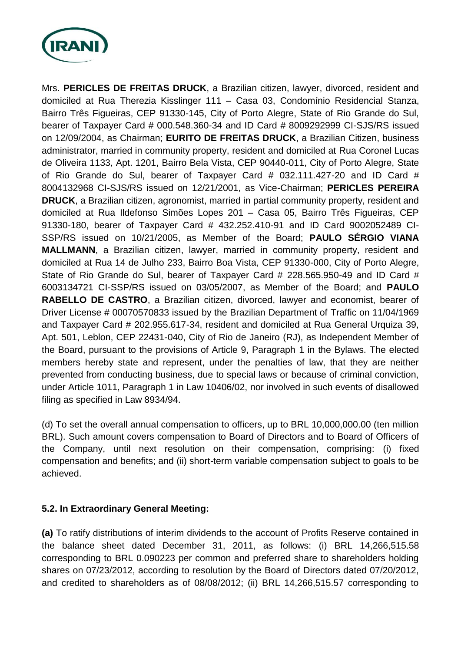

Mrs. **PERICLES DE FREITAS DRUCK**, a Brazilian citizen, lawyer, divorced, resident and domiciled at Rua Therezia Kisslinger 111 – Casa 03, Condomínio Residencial Stanza, Bairro Três Figueiras, CEP 91330-145, City of Porto Alegre, State of Rio Grande do Sul, bearer of Taxpayer Card # 000.548.360-34 and ID Card # 8009292999 CI-SJS/RS issued on 12/09/2004, as Chairman; **EURITO DE FREITAS DRUCK**, a Brazilian Citizen, business administrator, married in community property, resident and domiciled at Rua Coronel Lucas de Oliveira 1133, Apt. 1201, Bairro Bela Vista, CEP 90440-011, City of Porto Alegre, State of Rio Grande do Sul, bearer of Taxpayer Card # 032.111.427-20 and ID Card # 8004132968 CI-SJS/RS issued on 12/21/2001, as Vice-Chairman; **PERICLES PEREIRA DRUCK**, a Brazilian citizen, agronomist, married in partial community property, resident and domiciled at Rua Ildefonso Simões Lopes 201 – Casa 05, Bairro Três Figueiras, CEP 91330-180, bearer of Taxpayer Card # 432.252.410-91 and ID Card 9002052489 CI-SSP/RS issued on 10/21/2005, as Member of the Board; **PAULO SÉRGIO VIANA MALLMANN**, a Brazilian citizen, lawyer, married in community property, resident and domiciled at Rua 14 de Julho 233, Bairro Boa Vista, CEP 91330-000, City of Porto Alegre, State of Rio Grande do Sul, bearer of Taxpayer Card # 228.565.950-49 and ID Card # 6003134721 CI-SSP/RS issued on 03/05/2007, as Member of the Board; and **PAULO RABELLO DE CASTRO**, a Brazilian citizen, divorced, lawyer and economist, bearer of Driver License # 00070570833 issued by the Brazilian Department of Traffic on 11/04/1969 and Taxpayer Card # 202.955.617-34, resident and domiciled at Rua General Urquiza 39, Apt. 501, Leblon, CEP 22431-040, City of Rio de Janeiro (RJ), as Independent Member of the Board, pursuant to the provisions of Article 9, Paragraph 1 in the Bylaws. The elected members hereby state and represent, under the penalties of law, that they are neither prevented from conducting business, due to special laws or because of criminal conviction, under Article 1011, Paragraph 1 in Law 10406/02, nor involved in such events of disallowed filing as specified in Law 8934/94.

(d) To set the overall annual compensation to officers, up to BRL 10,000,000.00 (ten million BRL). Such amount covers compensation to Board of Directors and to Board of Officers of the Company, until next resolution on their compensation, comprising: (i) fixed compensation and benefits; and (ii) short-term variable compensation subject to goals to be achieved.

## **5.2. In Extraordinary General Meeting:**

**(a)** To ratify distributions of interim dividends to the account of Profits Reserve contained in the balance sheet dated December 31, 2011, as follows: (i) BRL 14,266,515.58 corresponding to BRL 0.090223 per common and preferred share to shareholders holding shares on 07/23/2012, according to resolution by the Board of Directors dated 07/20/2012, and credited to shareholders as of 08/08/2012; (ii) BRL 14,266,515.57 corresponding to